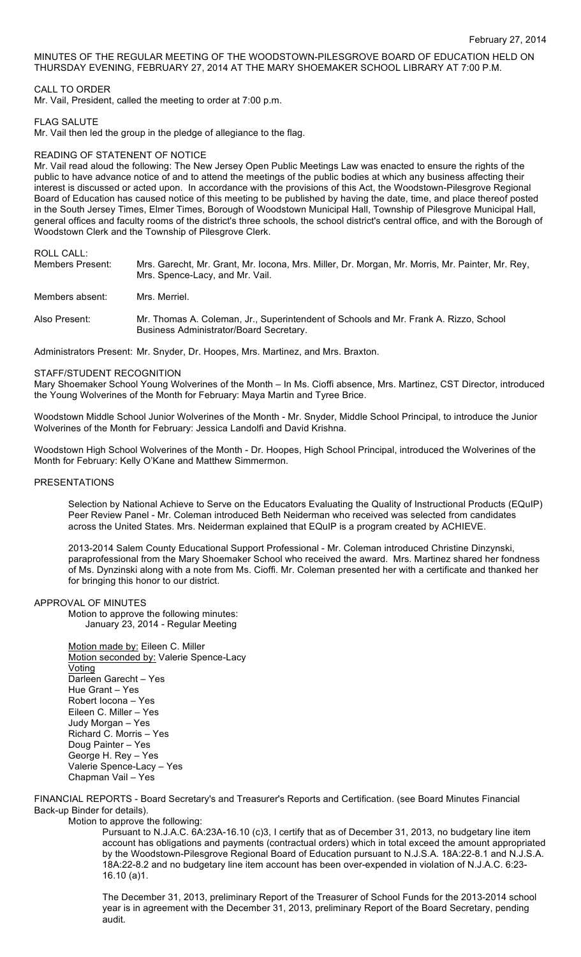# MINUTES OF THE REGULAR MEETING OF THE WOODSTOWN-PILESGROVE BOARD OF EDUCATION HELD ON THURSDAY EVENING, FEBRUARY 27, 2014 AT THE MARY SHOEMAKER SCHOOL LIBRARY AT 7:00 P.M.

# CALL TO ORDER

Mr. Vail, President, called the meeting to order at 7:00 p.m.

#### FLAG SALUTE

Mr. Vail then led the group in the pledge of allegiance to the flag.

#### READING OF STATENENT OF NOTICE

Mr. Vail read aloud the following: The New Jersey Open Public Meetings Law was enacted to ensure the rights of the public to have advance notice of and to attend the meetings of the public bodies at which any business affecting their interest is discussed or acted upon. In accordance with the provisions of this Act, the Woodstown-Pilesgrove Regional Board of Education has caused notice of this meeting to be published by having the date, time, and place thereof posted in the South Jersey Times, Elmer Times, Borough of Woodstown Municipal Hall, Township of Pilesgrove Municipal Hall, general offices and faculty rooms of the district's three schools, the school district's central office, and with the Borough of Woodstown Clerk and the Township of Pilesgrove Clerk.

# ROLL CALL:

| Members Present: | Mrs. Garecht, Mr. Grant, Mr. Iocona, Mrs. Miller, Dr. Morgan, Mr. Morris, Mr. Painter, Mr. Rey,<br>Mrs. Spence-Lacy, and Mr. Vail. |
|------------------|------------------------------------------------------------------------------------------------------------------------------------|
| Members absent:  | Mrs. Merriel.                                                                                                                      |
| Also Present:    | Mr. Thomas A. Coleman, Jr., Superintendent of Schools and Mr. Frank A. Rizzo, School<br>Business Administrator/Board Secretary.    |

Administrators Present: Mr. Snyder, Dr. Hoopes, Mrs. Martinez, and Mrs. Braxton.

#### STAFF/STUDENT RECOGNITION

Mary Shoemaker School Young Wolverines of the Month – In Ms. Cioffi absence, Mrs. Martinez, CST Director, introduced the Young Wolverines of the Month for February: Maya Martin and Tyree Brice.

Woodstown Middle School Junior Wolverines of the Month - Mr. Snyder, Middle School Principal, to introduce the Junior Wolverines of the Month for February: Jessica Landolfi and David Krishna.

Woodstown High School Wolverines of the Month - Dr. Hoopes, High School Principal, introduced the Wolverines of the Month for February: Kelly O'Kane and Matthew Simmermon.

#### PRESENTATIONS

Selection by National Achieve to Serve on the Educators Evaluating the Quality of Instructional Products (EQuIP) Peer Review Panel - Mr. Coleman introduced Beth Neiderman who received was selected from candidates across the United States. Mrs. Neiderman explained that EQuIP is a program created by ACHIEVE.

2013-2014 Salem County Educational Support Professional - Mr. Coleman introduced Christine Dinzynski, paraprofessional from the Mary Shoemaker School who received the award. Mrs. Martinez shared her fondness of Ms. Dynzinski along with a note from Ms. Cioffi. Mr. Coleman presented her with a certificate and thanked her for bringing this honor to our district.

## APPROVAL OF MINUTES

Motion to approve the following minutes: January 23, 2014 - Regular Meeting

Motion made by: Eileen C. Miller Motion seconded by: Valerie Spence-Lacy Voting Darleen Garecht – Yes Hue Grant – Yes Robert Iocona – Yes Eileen C. Miller – Yes Judy Morgan – Yes Richard C. Morris – Yes Doug Painter – Yes George H. Rey – Yes Valerie Spence-Lacy – Yes Chapman Vail – Yes

FINANCIAL REPORTS - Board Secretary's and Treasurer's Reports and Certification. (see Board Minutes Financial Back-up Binder for details). Motion to approve the following:

Pursuant to N.J.A.C. 6A:23A-16.10 (c)3, I certify that as of December 31, 2013, no budgetary line item account has obligations and payments (contractual orders) which in total exceed the amount appropriated by the Woodstown-Pilesgrove Regional Board of Education pursuant to N.J.S.A. 18A:22-8.1 and N.J.S.A. 18A:22-8.2 and no budgetary line item account has been over-expended in violation of N.J.A.C. 6:23- 16.10 (a)1.

The December 31, 2013, preliminary Report of the Treasurer of School Funds for the 2013-2014 school year is in agreement with the December 31, 2013, preliminary Report of the Board Secretary, pending audit.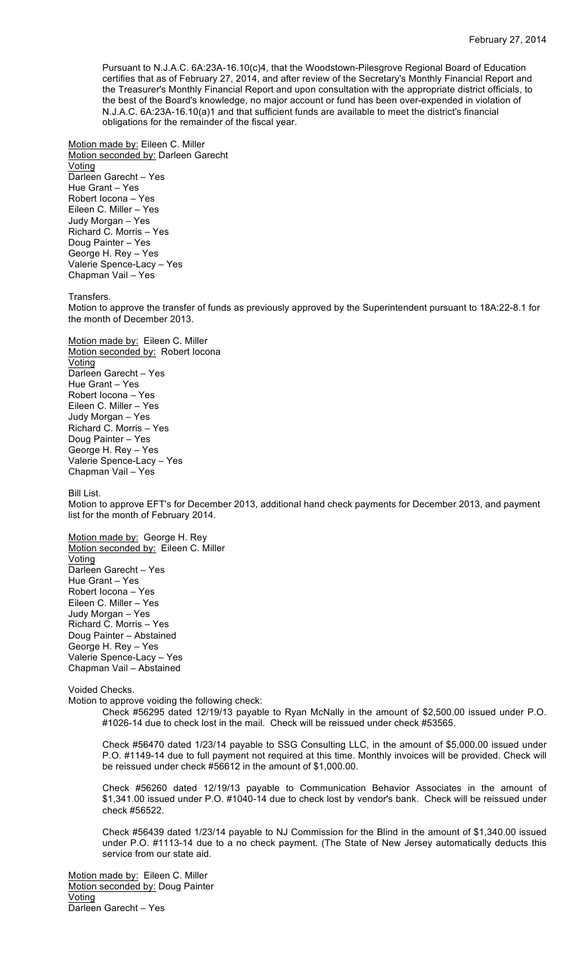Pursuant to N.J.A.C. 6A:23A-16.10(c)4, that the Woodstown-Pilesgrove Regional Board of Education certifies that as of February 27, 2014, and after review of the Secretary's Monthly Financial Report and the Treasurer's Monthly Financial Report and upon consultation with the appropriate district officials, to the best of the Board's knowledge, no major account or fund has been over-expended in violation of N.J.A.C. 6A:23A-16.10(a)1 and that sufficient funds are available to meet the district's financial obligations for the remainder of the fiscal year.

Motion made by: Eileen C. Miller Motion seconded by: Darleen Garecht Voting Darleen Garecht – Yes Hue Grant – Yes Robert Iocona – Yes Eileen C. Miller – Yes Judy Morgan – Yes Richard C. Morris – Yes Doug Painter – Yes George H. Rey – Yes Valerie Spence-Lacy – Yes Chapman Vail – Yes

Transfers.

Motion to approve the transfer of funds as previously approved by the Superintendent pursuant to 18A:22-8.1 for the month of December 2013.

Motion made by: Eileen C. Miller Motion seconded by: Robert locona Voting Darleen Garecht – Yes Hue Grant – Yes Robert Iocona – Yes Eileen C. Miller – Yes Judy Morgan – Yes Richard C. Morris – Yes Doug Painter – Yes George H. Rey – Yes Valerie Spence-Lacy – Yes Chapman Vail – Yes

Bill List.

Motion to approve EFT's for December 2013, additional hand check payments for December 2013, and payment list for the month of February 2014.

Motion made by: George H. Rey Motion seconded by: Eileen C. Miller Voting Darleen Garecht – Yes Hue Grant – Yes Robert Iocona – Yes Eileen C. Miller – Yes Judy Morgan – Yes Richard C. Morris – Yes Doug Painter – Abstained George H. Rey – Yes Valerie Spence-Lacy – Yes Chapman Vail – Abstained

Voided Checks.

Motion to approve voiding the following check:

Check #56295 dated 12/19/13 payable to Ryan McNally in the amount of \$2,500.00 issued under P.O. #1026-14 due to check lost in the mail. Check will be reissued under check #53565.

Check #56470 dated 1/23/14 payable to SSG Consulting LLC, in the amount of \$5,000.00 issued under P.O. #1149-14 due to full payment not required at this time. Monthly invoices will be provided. Check will be reissued under check #56612 in the amount of \$1,000.00.

Check #56260 dated 12/19/13 payable to Communication Behavior Associates in the amount of \$1,341.00 issued under P.O. #1040-14 due to check lost by vendor's bank. Check will be reissued under check #56522.

Check #56439 dated 1/23/14 payable to NJ Commission for the Blind in the amount of \$1,340.00 issued under P.O. #1113-14 due to a no check payment. (The State of New Jersey automatically deducts this service from our state aid.

Motion made by: Eileen C. Miller Motion seconded by: Doug Painter Voting Darleen Garecht – Yes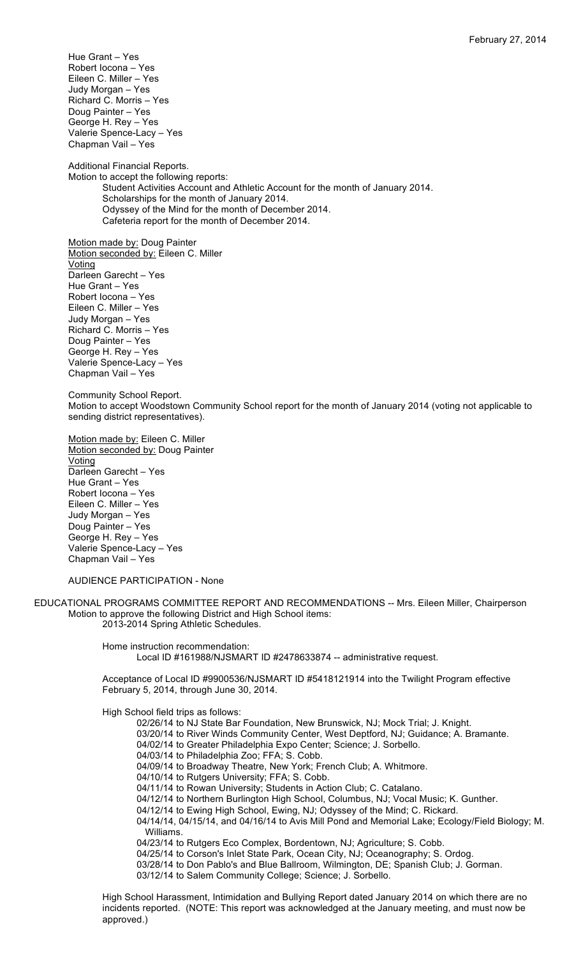Hue Grant – Yes Robert Iocona – Yes Eileen C. Miller – Yes Judy Morgan – Yes Richard C. Morris – Yes Doug Painter – Yes George H. Rey – Yes Valerie Spence-Lacy – Yes Chapman Vail – Yes

Additional Financial Reports. Motion to accept the following reports: Student Activities Account and Athletic Account for the month of January 2014. Scholarships for the month of January 2014. Odyssey of the Mind for the month of December 2014. Cafeteria report for the month of December 2014.

Motion made by: Doug Painter Motion seconded by: Eileen C. Miller **Voting** Darleen Garecht – Yes Hue Grant – Yes Robert Iocona – Yes Eileen C. Miller – Yes Judy Morgan – Yes Richard C. Morris – Yes Doug Painter – Yes George H. Rey – Yes Valerie Spence-Lacy – Yes Chapman Vail – Yes

Community School Report. Motion to accept Woodstown Community School report for the month of January 2014 (voting not applicable to sending district representatives).

Motion made by: Eileen C. Miller Motion seconded by: Doug Painter **Voting** Darleen Garecht – Yes Hue Grant – Yes Robert Iocona – Yes Eileen C. Miller – Yes Judy Morgan – Yes Doug Painter – Yes George H. Rey – Yes Valerie Spence-Lacy – Yes Chapman Vail – Yes

AUDIENCE PARTICIPATION - None

EDUCATIONAL PROGRAMS COMMITTEE REPORT AND RECOMMENDATIONS -- Mrs. Eileen Miller, Chairperson Motion to approve the following District and High School items: 2013-2014 Spring Athletic Schedules.

> Home instruction recommendation: Local ID #161988/NJSMART ID #2478633874 -- administrative request.

Acceptance of Local ID #9900536/NJSMART ID #5418121914 into the Twilight Program effective February 5, 2014, through June 30, 2014.

High School field trips as follows:

02/26/14 to NJ State Bar Foundation, New Brunswick, NJ; Mock Trial; J. Knight.

03/20/14 to River Winds Community Center, West Deptford, NJ; Guidance; A. Bramante.

- 04/02/14 to Greater Philadelphia Expo Center; Science; J. Sorbello.
- 04/03/14 to Philadelphia Zoo; FFA; S. Cobb.
- 04/09/14 to Broadway Theatre, New York; French Club; A. Whitmore.
- 04/10/14 to Rutgers University; FFA; S. Cobb.

04/11/14 to Rowan University; Students in Action Club; C. Catalano.

04/12/14 to Northern Burlington High School, Columbus, NJ; Vocal Music; K. Gunther.

04/12/14 to Ewing High School, Ewing, NJ; Odyssey of the Mind; C. Rickard.

04/14/14, 04/15/14, and 04/16/14 to Avis Mill Pond and Memorial Lake; Ecology/Field Biology; M. Williams.

04/23/14 to Rutgers Eco Complex, Bordentown, NJ; Agriculture; S. Cobb.

04/25/14 to Corson's Inlet State Park, Ocean City, NJ; Oceanography; S. Ordog.

03/28/14 to Don Pablo's and Blue Ballroom, Wilmington, DE; Spanish Club; J. Gorman. 03/12/14 to Salem Community College; Science; J. Sorbello.

High School Harassment, Intimidation and Bullying Report dated January 2014 on which there are no incidents reported. (NOTE: This report was acknowledged at the January meeting, and must now be approved.)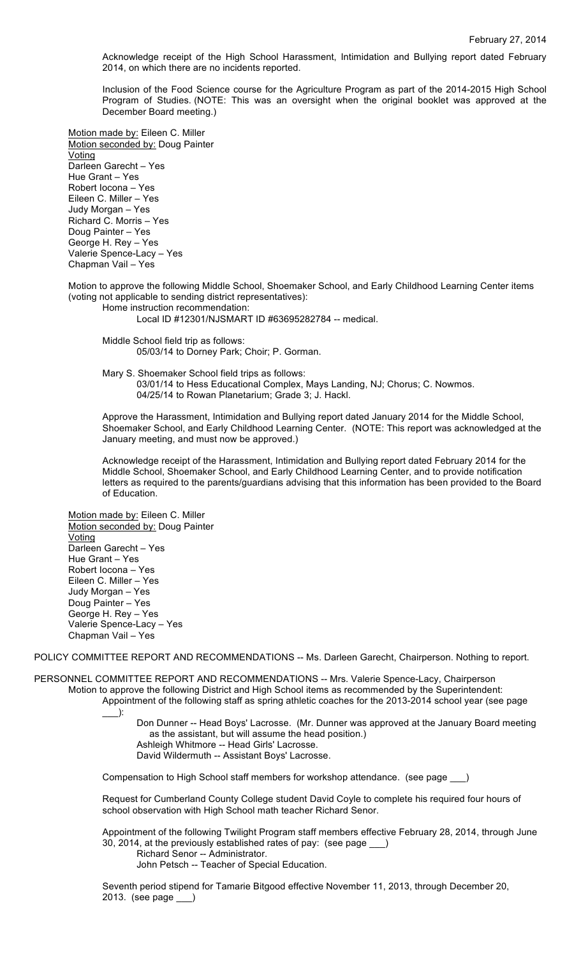Acknowledge receipt of the High School Harassment, Intimidation and Bullying report dated February 2014, on which there are no incidents reported.

Inclusion of the Food Science course for the Agriculture Program as part of the 2014-2015 High School Program of Studies. (NOTE: This was an oversight when the original booklet was approved at the December Board meeting.)

Motion made by: Eileen C. Miller Motion seconded by: Doug Painter **Voting** Darleen Garecht – Yes Hue Grant – Yes Robert Iocona – Yes Eileen C. Miller – Yes Judy Morgan – Yes Richard C. Morris – Yes Doug Painter – Yes George H. Rey – Yes Valerie Spence-Lacy – Yes Chapman Vail – Yes

Motion to approve the following Middle School, Shoemaker School, and Early Childhood Learning Center items (voting not applicable to sending district representatives):

Home instruction recommendation:

Local ID #12301/NJSMART ID #63695282784 -- medical.

Middle School field trip as follows: 05/03/14 to Dorney Park; Choir; P. Gorman.

Mary S. Shoemaker School field trips as follows: 03/01/14 to Hess Educational Complex, Mays Landing, NJ; Chorus; C. Nowmos. 04/25/14 to Rowan Planetarium; Grade 3; J. Hackl.

Approve the Harassment, Intimidation and Bullying report dated January 2014 for the Middle School, Shoemaker School, and Early Childhood Learning Center. (NOTE: This report was acknowledged at the January meeting, and must now be approved.)

Acknowledge receipt of the Harassment, Intimidation and Bullying report dated February 2014 for the Middle School, Shoemaker School, and Early Childhood Learning Center, and to provide notification letters as required to the parents/guardians advising that this information has been provided to the Board of Education.

Motion made by: Eileen C. Miller Motion seconded by: Doug Painter Voting Darleen Garecht – Yes Hue Grant – Yes Robert Iocona – Yes Eileen C. Miller – Yes Judy Morgan – Yes Doug Painter – Yes George H. Rey – Yes Valerie Spence-Lacy – Yes Chapman Vail – Yes

POLICY COMMITTEE REPORT AND RECOMMENDATIONS -- Ms. Darleen Garecht, Chairperson. Nothing to report.

PERSONNEL COMMITTEE REPORT AND RECOMMENDATIONS -- Mrs. Valerie Spence-Lacy, Chairperson Motion to approve the following District and High School items as recommended by the Superintendent: Appointment of the following staff as spring athletic coaches for the 2013-2014 school year (see page

 $\rightarrow$ :

Don Dunner -- Head Boys' Lacrosse. (Mr. Dunner was approved at the January Board meeting as the assistant, but will assume the head position.) Ashleigh Whitmore -- Head Girls' Lacrosse. David Wildermuth -- Assistant Boys' Lacrosse.

Compensation to High School staff members for workshop attendance. (see page \_\_\_)

Request for Cumberland County College student David Coyle to complete his required four hours of school observation with High School math teacher Richard Senor.

Appointment of the following Twilight Program staff members effective February 28, 2014, through June 30, 2014, at the previously established rates of pay: (see page \_\_\_)

Richard Senor -- Administrator.

John Petsch -- Teacher of Special Education.

Seventh period stipend for Tamarie Bitgood effective November 11, 2013, through December 20, 2013. (see page \_\_\_)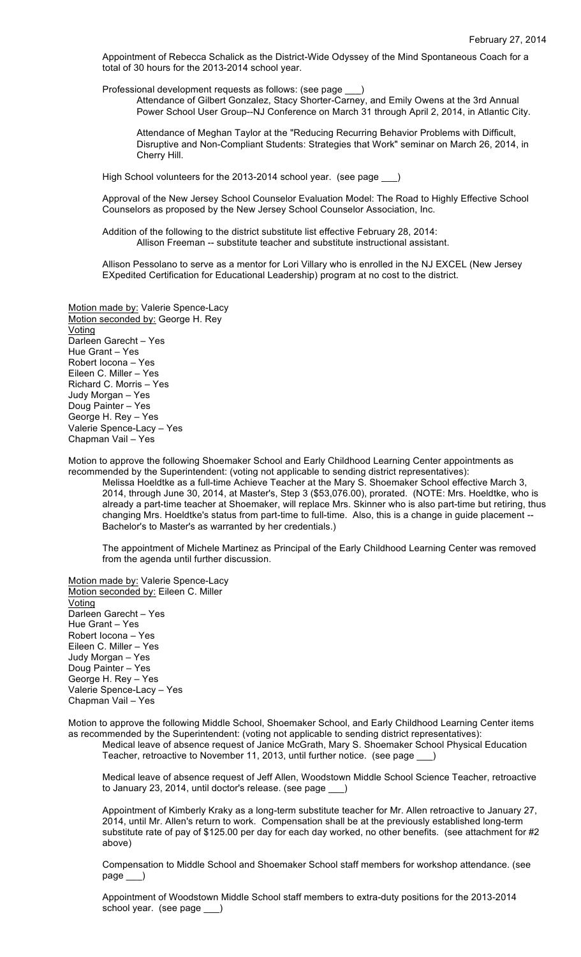Appointment of Rebecca Schalick as the District-Wide Odyssey of the Mind Spontaneous Coach for a total of 30 hours for the 2013-2014 school year.

Professional development requests as follows: (see page

Attendance of Gilbert Gonzalez, Stacy Shorter-Carney, and Emily Owens at the 3rd Annual Power School User Group--NJ Conference on March 31 through April 2, 2014, in Atlantic City.

Attendance of Meghan Taylor at the "Reducing Recurring Behavior Problems with Difficult, Disruptive and Non-Compliant Students: Strategies that Work" seminar on March 26, 2014, in Cherry Hill.

High School volunteers for the 2013-2014 school year. (see page \_

Approval of the New Jersey School Counselor Evaluation Model: The Road to Highly Effective School Counselors as proposed by the New Jersey School Counselor Association, Inc.

Addition of the following to the district substitute list effective February 28, 2014: Allison Freeman -- substitute teacher and substitute instructional assistant.

Allison Pessolano to serve as a mentor for Lori Villary who is enrolled in the NJ EXCEL (New Jersey EXpedited Certification for Educational Leadership) program at no cost to the district.

Motion made by: Valerie Spence-Lacy Motion seconded by: George H. Rey Voting Darleen Garecht – Yes Hue Grant – Yes Robert Iocona – Yes Eileen C. Miller – Yes Richard C. Morris – Yes Judy Morgan – Yes Doug Painter – Yes George H. Rey – Yes Valerie Spence-Lacy – Yes Chapman Vail – Yes

Motion to approve the following Shoemaker School and Early Childhood Learning Center appointments as recommended by the Superintendent: (voting not applicable to sending district representatives):

Melissa Hoeldtke as a full-time Achieve Teacher at the Mary S. Shoemaker School effective March 3, 2014, through June 30, 2014, at Master's, Step 3 (\$53,076.00), prorated. (NOTE: Mrs. Hoeldtke, who is already a part-time teacher at Shoemaker, will replace Mrs. Skinner who is also part-time but retiring, thus changing Mrs. Hoeldtke's status from part-time to full-time. Also, this is a change in guide placement -- Bachelor's to Master's as warranted by her credentials.)

The appointment of Michele Martinez as Principal of the Early Childhood Learning Center was removed from the agenda until further discussion.

Motion made by: Valerie Spence-Lacy Motion seconded by: Eileen C. Miller Voting Darleen Garecht – Yes Hue Grant – Yes Robert Iocona – Yes Eileen C. Miller – Yes Judy Morgan – Yes Doug Painter – Yes George H. Rey – Yes Valerie Spence-Lacy – Yes Chapman Vail – Yes

Motion to approve the following Middle School, Shoemaker School, and Early Childhood Learning Center items as recommended by the Superintendent: (voting not applicable to sending district representatives):

Medical leave of absence request of Janice McGrath, Mary S. Shoemaker School Physical Education Teacher, retroactive to November 11, 2013, until further notice. (see page \_

Medical leave of absence request of Jeff Allen, Woodstown Middle School Science Teacher, retroactive to January 23, 2014, until doctor's release. (see page \_

Appointment of Kimberly Kraky as a long-term substitute teacher for Mr. Allen retroactive to January 27, 2014, until Mr. Allen's return to work. Compensation shall be at the previously established long-term substitute rate of pay of \$125.00 per day for each day worked, no other benefits. (see attachment for #2 above)

Compensation to Middle School and Shoemaker School staff members for workshop attendance. (see page \_\_\_)

Appointment of Woodstown Middle School staff members to extra-duty positions for the 2013-2014 school year. (see page )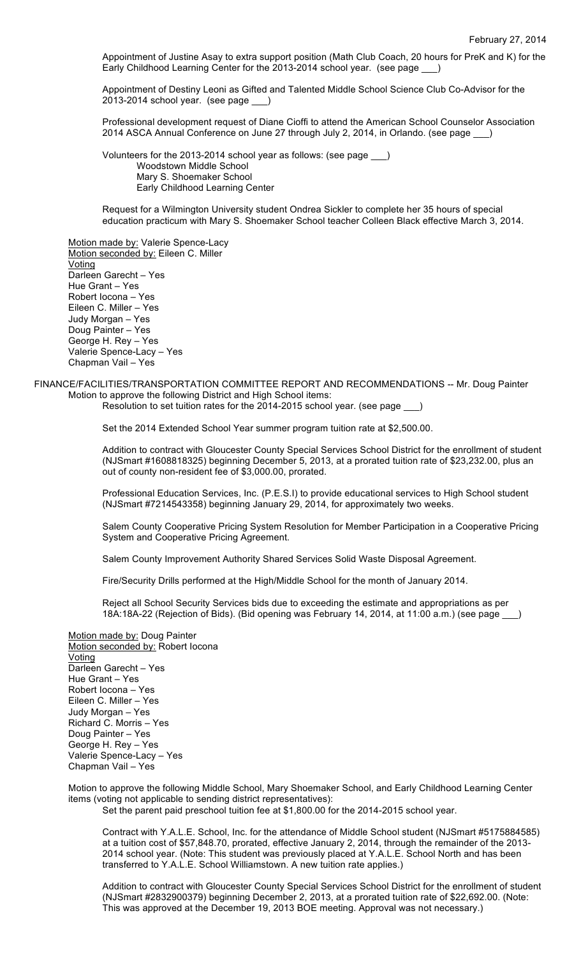Appointment of Justine Asay to extra support position (Math Club Coach, 20 hours for PreK and K) for the Early Childhood Learning Center for the 2013-2014 school year. (see page )

Appointment of Destiny Leoni as Gifted and Talented Middle School Science Club Co-Advisor for the 2013-2014 school year. (see page

Professional development request of Diane Cioffi to attend the American School Counselor Association 2014 ASCA Annual Conference on June 27 through July 2, 2014, in Orlando. (see page \_

Volunteers for the 2013-2014 school year as follows: (see page \_\_\_) Woodstown Middle School Mary S. Shoemaker School Early Childhood Learning Center

Request for a Wilmington University student Ondrea Sickler to complete her 35 hours of special education practicum with Mary S. Shoemaker School teacher Colleen Black effective March 3, 2014.

Motion made by: Valerie Spence-Lacy Motion seconded by: Eileen C. Miller **Voting** Darleen Garecht – Yes Hue Grant – Yes Robert Iocona – Yes Eileen C. Miller – Yes Judy Morgan – Yes Doug Painter – Yes George H. Rey – Yes Valerie Spence-Lacy – Yes Chapman Vail – Yes

FINANCE/FACILITIES/TRANSPORTATION COMMITTEE REPORT AND RECOMMENDATIONS -- Mr. Doug Painter Motion to approve the following District and High School items:

Resolution to set tuition rates for the 2014-2015 school year. (see page

Set the 2014 Extended School Year summer program tuition rate at \$2,500.00.

Addition to contract with Gloucester County Special Services School District for the enrollment of student (NJSmart #1608818325) beginning December 5, 2013, at a prorated tuition rate of \$23,232.00, plus an out of county non-resident fee of \$3,000.00, prorated.

Professional Education Services, Inc. (P.E.S.I) to provide educational services to High School student (NJSmart #7214543358) beginning January 29, 2014, for approximately two weeks.

Salem County Cooperative Pricing System Resolution for Member Participation in a Cooperative Pricing System and Cooperative Pricing Agreement.

Salem County Improvement Authority Shared Services Solid Waste Disposal Agreement.

Fire/Security Drills performed at the High/Middle School for the month of January 2014.

Reject all School Security Services bids due to exceeding the estimate and appropriations as per 18A:18A-22 (Rejection of Bids). (Bid opening was February 14, 2014, at 11:00 a.m.) (see page \_\_\_)

Motion made by: Doug Painter Motion seconded by: Robert Iocona Voting Darleen Garecht – Yes Hue Grant – Yes Robert Iocona – Yes Eileen C. Miller – Yes Judy Morgan – Yes Richard C. Morris – Yes Doug Painter – Yes George H. Rey – Yes Valerie Spence-Lacy – Yes Chapman Vail – Yes

Motion to approve the following Middle School, Mary Shoemaker School, and Early Childhood Learning Center items (voting not applicable to sending district representatives):

Set the parent paid preschool tuition fee at \$1,800.00 for the 2014-2015 school year.

Contract with Y.A.L.E. School, Inc. for the attendance of Middle School student (NJSmart #5175884585) at a tuition cost of \$57,848.70, prorated, effective January 2, 2014, through the remainder of the 2013- 2014 school year. (Note: This student was previously placed at Y.A.L.E. School North and has been transferred to Y.A.L.E. School Williamstown. A new tuition rate applies.)

Addition to contract with Gloucester County Special Services School District for the enrollment of student (NJSmart #2832900379) beginning December 2, 2013, at a prorated tuition rate of \$22,692.00. (Note: This was approved at the December 19, 2013 BOE meeting. Approval was not necessary.)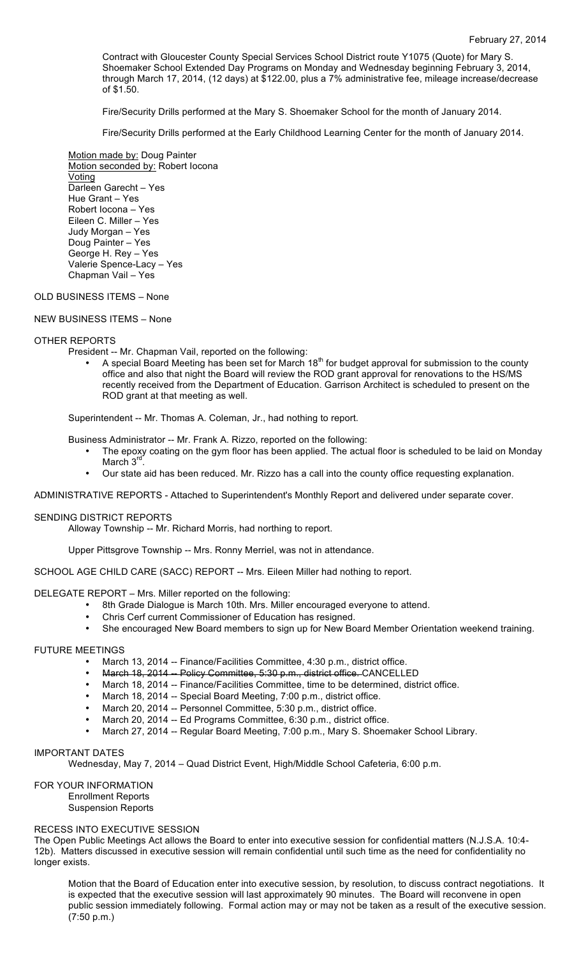Contract with Gloucester County Special Services School District route Y1075 (Quote) for Mary S. Shoemaker School Extended Day Programs on Monday and Wednesday beginning February 3, 2014, through March 17, 2014, (12 days) at \$122.00, plus a 7% administrative fee, mileage increase/decrease of \$1.50.

Fire/Security Drills performed at the Mary S. Shoemaker School for the month of January 2014.

Fire/Security Drills performed at the Early Childhood Learning Center for the month of January 2014.

Motion made by: Doug Painter Motion seconded by: Robert Iocona Voting Darleen Garecht – Yes Hue Grant – Yes Robert Iocona – Yes Eileen C. Miller – Yes Judy Morgan – Yes Doug Painter – Yes George H. Rey – Yes Valerie Spence-Lacy – Yes Chapman Vail – Yes

## OLD BUSINESS ITEMS – None

NEW BUSINESS ITEMS – None

## OTHER REPORTS

- President -- Mr. Chapman Vail, reported on the following:
	- A special Board Meeting has been set for March 18<sup>th</sup> for budget approval for submission to the county office and also that night the Board will review the ROD grant approval for renovations to the HS/MS recently received from the Department of Education. Garrison Architect is scheduled to present on the ROD grant at that meeting as well.

Superintendent -- Mr. Thomas A. Coleman, Jr., had nothing to report.

Business Administrator -- Mr. Frank A. Rizzo, reported on the following:

- The epoxy coating on the gym floor has been applied. The actual floor is scheduled to be laid on Monday March 3<sup>rd</sup>
- Our state aid has been reduced. Mr. Rizzo has a call into the county office requesting explanation.

ADMINISTRATIVE REPORTS - Attached to Superintendent's Monthly Report and delivered under separate cover.

## SENDING DISTRICT REPORTS

Alloway Township -- Mr. Richard Morris, had northing to report.

Upper Pittsgrove Township -- Mrs. Ronny Merriel, was not in attendance.

SCHOOL AGE CHILD CARE (SACC) REPORT -- Mrs. Eileen Miller had nothing to report.

DELEGATE REPORT – Mrs. Miller reported on the following:

- 8th Grade Dialogue is March 10th. Mrs. Miller encouraged everyone to attend.
- Chris Cerf current Commissioner of Education has resigned.
- She encouraged New Board members to sign up for New Board Member Orientation weekend training.

## FUTURE MEETINGS

- March 13, 2014 -- Finance/Facilities Committee, 4:30 p.m., district office.
- March 18, 2014 Policy Committee, 5:30 p.m., district office. CANCELLED
- March 18, 2014 -- Finance/Facilities Committee, time to be determined, district office.
- March 18, 2014 -- Special Board Meeting, 7:00 p.m., district office.
- March 20, 2014 -- Personnel Committee, 5:30 p.m., district office.
- March 20, 2014 -- Ed Programs Committee, 6:30 p.m., district office.<br>• March 27, 2014 -- Begular Board Meeting, 7:00 p.m., Mary S. Shoem
- March 27, 2014 -- Regular Board Meeting, 7:00 p.m., Mary S. Shoemaker School Library.

## IMPORTANT DATES

Wednesday, May 7, 2014 – Quad District Event, High/Middle School Cafeteria, 6:00 p.m.

FOR YOUR INFORMATION

Enrollment Reports Suspension Reports

## RECESS INTO EXECUTIVE SESSION

The Open Public Meetings Act allows the Board to enter into executive session for confidential matters (N.J.S.A. 10:4- 12b). Matters discussed in executive session will remain confidential until such time as the need for confidentiality no longer exists.

Motion that the Board of Education enter into executive session, by resolution, to discuss contract negotiations. It is expected that the executive session will last approximately 90 minutes. The Board will reconvene in open public session immediately following. Formal action may or may not be taken as a result of the executive session. (7:50 p.m.)